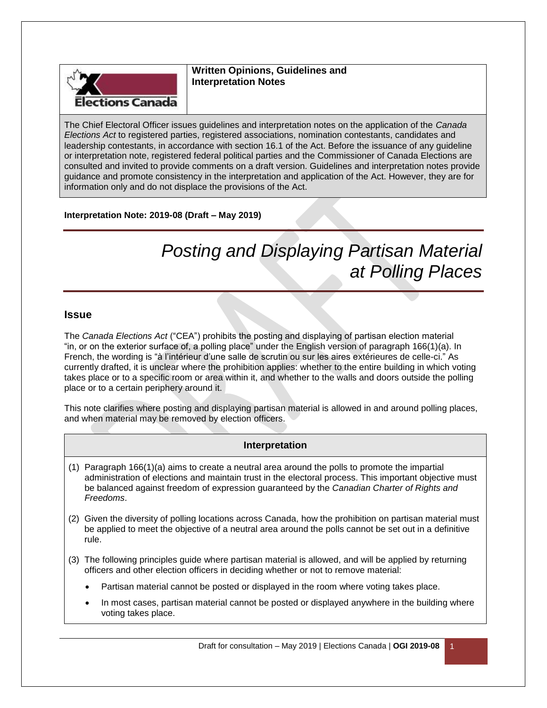

**Written Opinions, Guidelines and Interpretation Notes**

The Chief Electoral Officer issues guidelines and interpretation notes on the application of the *Canada Elections Act* to registered parties, registered associations, nomination contestants, candidates and leadership contestants, in accordance with section 16.1 of the Act. Before the issuance of any guideline or interpretation note, registered federal political parties and the Commissioner of Canada Elections are consulted and invited to provide comments on a draft version. Guidelines and interpretation notes provide guidance and promote consistency in the interpretation and application of the Act. However, they are for information only and do not displace the provisions of the Act.

### **Interpretation Note: 2019-08 (Draft – May 2019)**

# *Posting and Displaying Partisan Material at Polling Places*

#### **Issue**

The *Canada Elections Act* ("CEA") prohibits the posting and displaying of partisan election material "in, or on the exterior surface of, a polling place" under the English version of paragraph 166(1)(a). In French, the wording is "à l'intérieur d'une salle de scrutin ou sur les aires extérieures de celle-ci." As currently drafted, it is unclear where the prohibition applies: whether to the entire building in which voting takes place or to a specific room or area within it, and whether to the walls and doors outside the polling place or to a certain periphery around it.

This note clarifies where posting and displaying partisan material is allowed in and around polling places, and when material may be removed by election officers.

#### **Interpretation**

- (1) Paragraph 166(1)(a) aims to create a neutral area around the polls to promote the impartial administration of elections and maintain trust in the electoral process. This important objective must be balanced against freedom of expression guaranteed by the *Canadian Charter of Rights and Freedoms*.
- (2) Given the diversity of polling locations across Canada, how the prohibition on partisan material must be applied to meet the objective of a neutral area around the polls cannot be set out in a definitive rule.
- (3) The following principles guide where partisan material is allowed, and will be applied by returning officers and other election officers in deciding whether or not to remove material:
	- Partisan material cannot be posted or displayed in the room where voting takes place.
	- In most cases, partisan material cannot be posted or displayed anywhere in the building where voting takes place.

Draft for consultation – May 2019 | Elections Canada | **OGI 2019-08** 1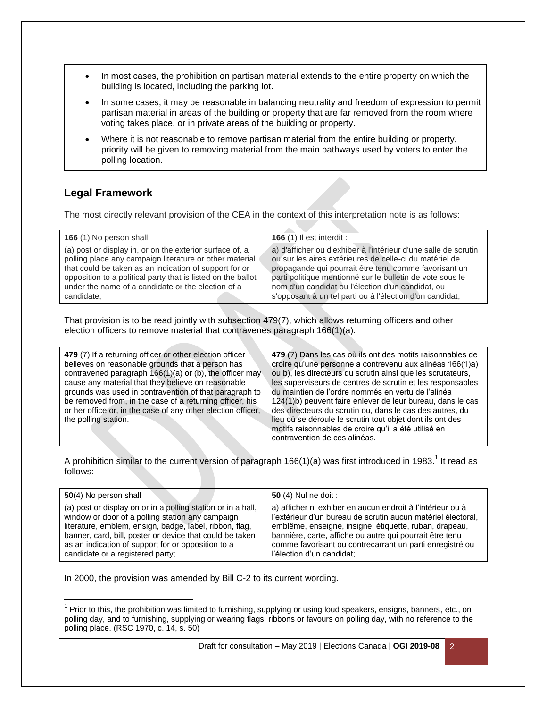- In most cases, the prohibition on partisan material extends to the entire property on which the building is located, including the parking lot.
- In some cases, it may be reasonable in balancing neutrality and freedom of expression to permit partisan material in areas of the building or property that are far removed from the room where voting takes place, or in private areas of the building or property.
- Where it is not reasonable to remove partisan material from the entire building or property, priority will be given to removing material from the main pathways used by voters to enter the polling location.

## **Legal Framework**

The most directly relevant provision of the CEA in the context of this interpretation note is as follows:

| 166 (1) No person shall                                      | <b>166 (1) Il est interdit :</b>                                |
|--------------------------------------------------------------|-----------------------------------------------------------------|
| (a) post or display in, or on the exterior surface of, a     | a) d'afficher ou d'exhiber à l'intérieur d'une salle de scrutin |
| polling place any campaign literature or other material      | ou sur les aires extérieures de celle-ci du matériel de         |
| that could be taken as an indication of support for or       | propagande qui pourrait être tenu comme favorisant un           |
| opposition to a political party that is listed on the ballot | parti politique mentionné sur le bulletin de vote sous le       |
| under the name of a candidate or the election of a           | nom d'un candidat ou l'élection d'un candidat, ou               |
| candidate:                                                   | s'opposant à un tel parti ou à l'élection d'un candidat;        |

That provision is to be read jointly with subsection 479(7), which allows returning officers and other election officers to remove material that contravenes paragraph 166(1)(a):

| 479 (7) If a returning officer or other election officer<br>believes on reasonable grounds that a person has<br>contravened paragraph 166(1)(a) or (b), the officer may<br>cause any material that they believe on reasonable<br>grounds was used in contravention of that paragraph to<br>be removed from, in the case of a returning officer, his<br>or her office or, in the case of any other election officer,<br>the polling station. | 479 (7) Dans les cas où ils ont des motifs raisonnables de<br>croire qu'une personne a contrevenu aux alinéas 166(1)a)<br>ou b), les directeurs du scrutin ainsi que les scrutateurs,<br>les superviseurs de centres de scrutin et les responsables<br>du maintien de l'ordre nommés en vertu de l'alinéa<br>124(1)b) peuvent faire enlever de leur bureau, dans le cas<br>des directeurs du scrutin ou, dans le cas des autres, du<br>lieu où se déroule le scrutin tout objet dont ils ont des<br>motifs raisonnables de croire qu'il a été utilisé en<br>contravention de ces alinéas. |
|---------------------------------------------------------------------------------------------------------------------------------------------------------------------------------------------------------------------------------------------------------------------------------------------------------------------------------------------------------------------------------------------------------------------------------------------|-------------------------------------------------------------------------------------------------------------------------------------------------------------------------------------------------------------------------------------------------------------------------------------------------------------------------------------------------------------------------------------------------------------------------------------------------------------------------------------------------------------------------------------------------------------------------------------------|
|---------------------------------------------------------------------------------------------------------------------------------------------------------------------------------------------------------------------------------------------------------------------------------------------------------------------------------------------------------------------------------------------------------------------------------------------|-------------------------------------------------------------------------------------------------------------------------------------------------------------------------------------------------------------------------------------------------------------------------------------------------------------------------------------------------------------------------------------------------------------------------------------------------------------------------------------------------------------------------------------------------------------------------------------------|

A prohibition similar to the current version of paragraph 166(1)(a) was first introduced in 1983.<sup>1</sup> It read as follows:

| 50(4) No person shall                                        | <b>50</b> (4) Nul ne doit :                                  |
|--------------------------------------------------------------|--------------------------------------------------------------|
| (a) post or display on or in a polling station or in a hall, | a) afficher ni exhiber en aucun endroit à l'intérieur ou à   |
| window or door of a polling station any campaign             | l'extérieur d'un bureau de scrutin aucun matériel électoral, |
| literature, emblem, ensign, badge, label, ribbon, flag,      | emblême, enseigne, insigne, étiquette, ruban, drapeau,       |
| banner, card, bill, poster or device that could be taken     | bannière, carte, affiche ou autre qui pourrait être tenu     |
| as an indication of support for or opposition to a           | comme favorisant ou contrecarrant un parti enregistré ou     |
| candidate or a registered party;                             | l'élection d'un candidat;                                    |

In 2000, the provision was amended by Bill C-2 to its current wording.

 $\overline{\phantom{a}}$  $1$  Prior to this, the prohibition was limited to furnishing, supplying or using loud speakers, ensigns, banners, etc., on polling day, and to furnishing, supplying or wearing flags, ribbons or favours on polling day, with no reference to the polling place. (RSC 1970, c. 14, s. 50)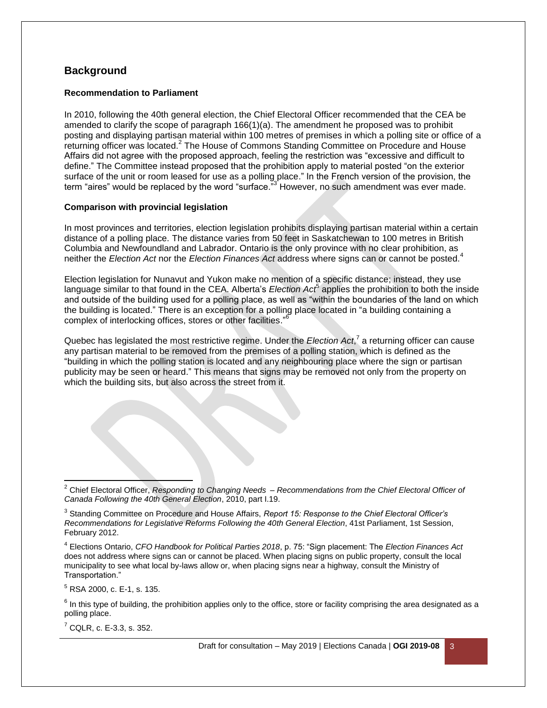## **Background**

#### **Recommendation to Parliament**

In 2010, following the 40th general election, the Chief Electoral Officer recommended that the CEA be amended to clarify the scope of paragraph 166(1)(a). The amendment he proposed was to prohibit posting and displaying partisan material within 100 metres of premises in which a polling site or office of a returning officer was located.<sup>2</sup> The House of Commons Standing Committee on Procedure and House Affairs did not agree with the proposed approach, feeling the restriction was "excessive and difficult to define." The Committee instead proposed that the prohibition apply to material posted "on the exterior surface of the unit or room leased for use as a polling place." In the French version of the provision, the term "aires" would be replaced by the word "surface."<sup>3</sup> However, no such amendment was ever made.

#### **Comparison with provincial legislation**

In most provinces and territories, election legislation prohibits displaying partisan material within a certain distance of a polling place. The distance varies from 50 feet in Saskatchewan to 100 metres in British Columbia and Newfoundland and Labrador. Ontario is the only province with no clear prohibition, as neither the *Election Act* nor the *Election Finances Act* address where signs can or cannot be posted.<sup>4</sup>

Election legislation for Nunavut and Yukon make no mention of a specific distance; instead, they use language similar to that found in the CEA. Alberta's *Election Act*<sup>5</sup> applies the prohibition to both the inside and outside of the building used for a polling place, as well as "within the boundaries of the land on which the building is located." There is an exception for a polling place located in "a building containing a complex of interlocking offices, stores or other facilities." 6

Quebec has legislated the most restrictive regime. Under the *Election Act*,<sup>7</sup> a returning officer can cause any partisan material to be removed from the premises of a polling station, which is defined as the "building in which the polling station is located and any neighbouring place where the sign or partisan publicity may be seen or heard." This means that signs may be removed not only from the property on which the building sits, but also across the street from it.

 $5$  RSA 2000, c. E-1, s. 135.

 $\overline{a}$ 

 $<sup>7</sup>$  CQLR, c. E-3.3, s. 352.</sup>

<sup>2</sup> Chief Electoral Officer, *Responding to Changing Needs – Recommendations from the Chief Electoral Officer of Canada Following the 40th General Election*, 2010, part I.19.

<sup>3</sup> Standing Committee on Procedure and House Affairs, *Report 15: Response to the Chief Electoral Officer's Recommendations for Legislative Reforms Following the 40th General Election*, 41st Parliament, 1st Session, February 2012.

<sup>4</sup> Elections Ontario, *CFO Handbook for Political Parties 2018*, p. 75: "Sign placement: The *Election Finances Act*  does not address where signs can or cannot be placed. When placing signs on public property, consult the local municipality to see what local by-laws allow or, when placing signs near a highway, consult the Ministry of Transportation."

 $^6$  In this type of building, the prohibition applies only to the office, store or facility comprising the area designated as a polling place.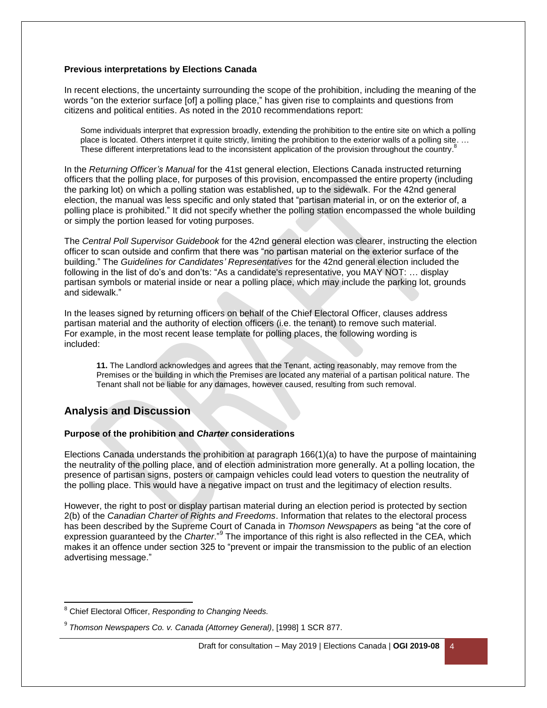#### **Previous interpretations by Elections Canada**

In recent elections, the uncertainty surrounding the scope of the prohibition, including the meaning of the words "on the exterior surface [of] a polling place," has given rise to complaints and questions from citizens and political entities. As noted in the 2010 recommendations report:

Some individuals interpret that expression broadly, extending the prohibition to the entire site on which a polling place is located. Others interpret it quite strictly, limiting the prohibition to the exterior walls of a polling site. … These different interpretations lead to the inconsistent application of the provision throughout the country.<sup>8</sup>

In the *Returning Officer's Manual* for the 41st general election, Elections Canada instructed returning officers that the polling place, for purposes of this provision, encompassed the entire property (including the parking lot) on which a polling station was established, up to the sidewalk. For the 42nd general election, the manual was less specific and only stated that "partisan material in, or on the exterior of, a polling place is prohibited." It did not specify whether the polling station encompassed the whole building or simply the portion leased for voting purposes.

The *Central Poll Supervisor Guidebook* for the 42nd general election was clearer, instructing the election officer to scan outside and confirm that there was "no partisan material on the exterior surface of the building." The *Guidelines for Candidates' Representatives* for the 42nd general election included the following in the list of do's and don'ts: "As a candidate's representative, you MAY NOT: … display partisan symbols or material inside or near a polling place, which may include the parking lot, grounds and sidewalk."

In the leases signed by returning officers on behalf of the Chief Electoral Officer, clauses address partisan material and the authority of election officers (i.e. the tenant) to remove such material. For example, in the most recent lease template for polling places, the following wording is included:

**11.** The Landlord acknowledges and agrees that the Tenant, acting reasonably, may remove from the Premises or the building in which the Premises are located any material of a partisan political nature. The Tenant shall not be liable for any damages, however caused, resulting from such removal.

## **Analysis and Discussion**

#### **Purpose of the prohibition and** *Charter* **considerations**

Elections Canada understands the prohibition at paragraph 166(1)(a) to have the purpose of maintaining the neutrality of the polling place, and of election administration more generally. At a polling location, the presence of partisan signs, posters or campaign vehicles could lead voters to question the neutrality of the polling place. This would have a negative impact on trust and the legitimacy of election results.

However, the right to post or display partisan material during an election period is protected by section 2(b) of the *Canadian Charter of Rights and Freedoms*. Information that relates to the electoral process has been described by the Supreme Court of Canada in *Thomson Newspapers* as being "at the core of expression guaranteed by the *Charter*."<sup>9</sup> The importance of this right is also reflected in the CEA, which makes it an offence under section 325 to "prevent or impair the transmission to the public of an election advertising message."

 $\overline{a}$ <sup>8</sup> Chief Electoral Officer, *Responding to Changing Needs.*

<sup>9</sup> *Thomson Newspapers Co. v. Canada (Attorney General)*, [1998] 1 SCR 877.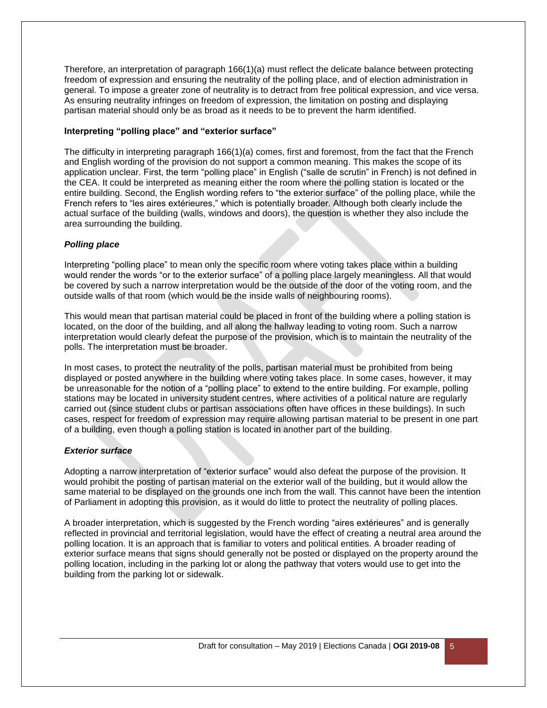Therefore, an interpretation of paragraph 166(1)(a) must reflect the delicate balance between protecting freedom of expression and ensuring the neutrality of the polling place, and of election administration in general. To impose a greater zone of neutrality is to detract from free political expression, and vice versa. As ensuring neutrality infringes on freedom of expression, the limitation on posting and displaying partisan material should only be as broad as it needs to be to prevent the harm identified.

#### **Interpreting "polling place" and "exterior surface"**

The difficulty in interpreting paragraph 166(1)(a) comes, first and foremost, from the fact that the French and English wording of the provision do not support a common meaning. This makes the scope of its application unclear. First, the term "polling place" in English ("salle de scrutin" in French) is not defined in the CEA. It could be interpreted as meaning either the room where the polling station is located or the entire building. Second, the English wording refers to "the exterior surface" of the polling place, while the French refers to "les aires extérieures," which is potentially broader. Although both clearly include the actual surface of the building (walls, windows and doors), the question is whether they also include the area surrounding the building.

#### *Polling place*

Interpreting "polling place" to mean only the specific room where voting takes place within a building would render the words "or to the exterior surface" of a polling place largely meaningless. All that would be covered by such a narrow interpretation would be the outside of the door of the voting room, and the outside walls of that room (which would be the inside walls of neighbouring rooms).

This would mean that partisan material could be placed in front of the building where a polling station is located, on the door of the building, and all along the hallway leading to voting room. Such a narrow interpretation would clearly defeat the purpose of the provision, which is to maintain the neutrality of the polls. The interpretation must be broader.

In most cases, to protect the neutrality of the polls, partisan material must be prohibited from being displayed or posted anywhere in the building where voting takes place. In some cases, however, it may be unreasonable for the notion of a "polling place" to extend to the entire building. For example, polling stations may be located in university student centres, where activities of a political nature are regularly carried out (since student clubs or partisan associations often have offices in these buildings). In such cases, respect for freedom of expression may require allowing partisan material to be present in one part of a building, even though a polling station is located in another part of the building.

#### *Exterior surface*

Adopting a narrow interpretation of "exterior surface" would also defeat the purpose of the provision. It would prohibit the posting of partisan material on the exterior wall of the building, but it would allow the same material to be displayed on the grounds one inch from the wall. This cannot have been the intention of Parliament in adopting this provision, as it would do little to protect the neutrality of polling places.

A broader interpretation, which is suggested by the French wording "aires extérieures" and is generally reflected in provincial and territorial legislation, would have the effect of creating a neutral area around the polling location. It is an approach that is familiar to voters and political entities. A broader reading of exterior surface means that signs should generally not be posted or displayed on the property around the polling location, including in the parking lot or along the pathway that voters would use to get into the building from the parking lot or sidewalk.